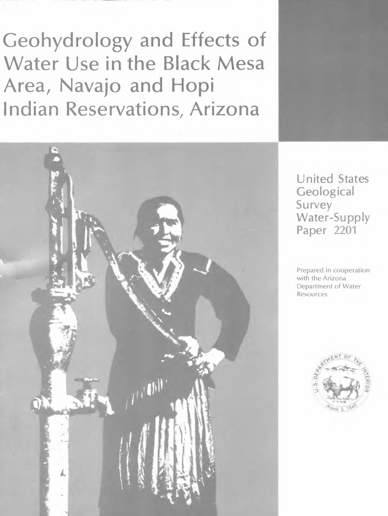Geohydrology and Effects of Water Use in the Black Mesa Area, Navajo and Hopi Indian Reservations, Arizona



United States **Geological** Survey Water-Supply Paper 2201

Prepared in cooperation with the Arizona Department of Water Resources

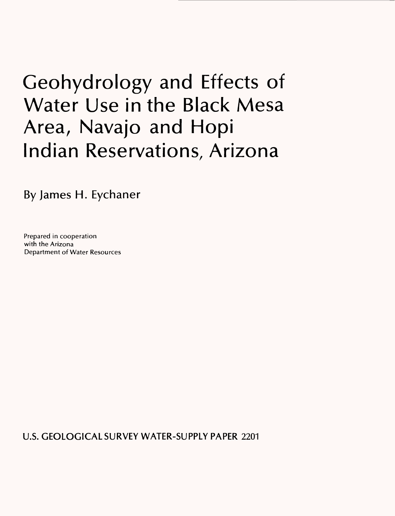# Geohydrology and Effects of Water Use in the Black Mesa Area, Navajo and Hopi Indian Reservations, Arizona

By James H. Eychaner

Prepared in cooperation with the Arizona Department of Water Resources

U.S. GEOLOGICAL SURVEY WATER-SUPPLY PAPER 2201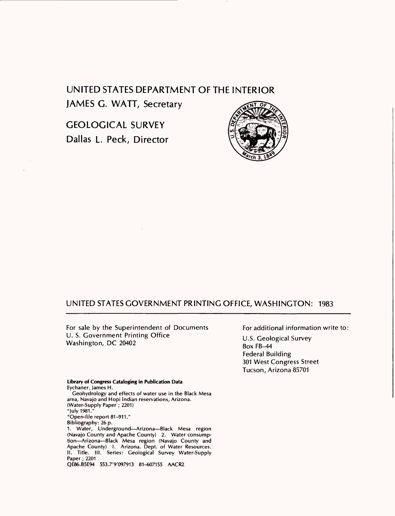# UNITED STATES DEPARTMENT OF THE INTERIOR JAMES G. WATT, Secretary

GEOLOGICAL SURVEY Dallas L. Peck, Director



# UNITED STATES GOVERNMENT PRINTING OFFICE, WASHINGTON: 1983

For sale by the Superintendent of Documents U. S. Government Printing Office Washington, DC 20402

For additional information write to:

U.S. Geological Survey Box FB-44 Federal Building 301 West Congress Street Tucson, Arizona 85701

**Library of Congress Cataloging in Publication Data** Eychaner, James H. Geohydrology and effects of water use in the Black Mesa area, Navajo and Hopi Indian reservations, Arizona. (Water-Supply Paper; 2201) "July 1981." "Open-file report 81-911." Bibliography: 26 p. 1. Water, Underground-Arizona-Black Mesa region (Navajo County and Apache County) 2. Water consumption-Arizona-Black Mesa region (Navajo County and Apache County) I. Arizona. Dept. of Water Resources. II. Title. III. Series: Geological Survey Water-Supply Paper; 2201 QE86.B5E94 553.7'9'097913 81-607155 AACR2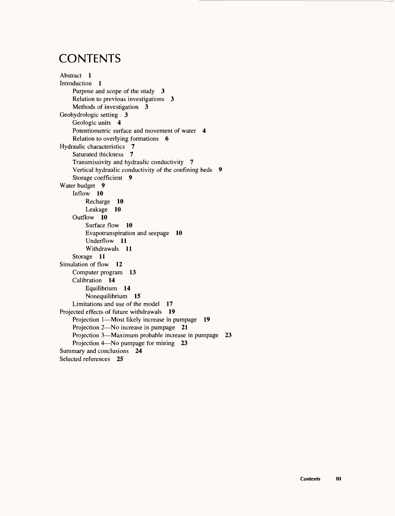# **CONTENTS**

```
Abstract 1 
Introduction 1
    Purpose and scope of the study 3 
    Relation to previous investigations 3
    Methods of investigation 3
Geohydrologic setting 3
    Geologic units 4
    Potentiometric surface and movement of water 4
    Relation to overlying formations 6
Hydraulic characteristics 7 
    Saturated thickness 7 
    Transmissivity and hydraulic conductivity 7 
    Vertical hydraulic conductivity of the confining beds 9
    Storage coefficient 9
Water budget 9
    Inflow 10
        Recharge 10 
        Leakage 10 
    Outflow 10
        Surface flow 10
        Evapotranspiration and seepage 10 
        Underflow 11 
        Withdrawals 11
    Storage 11 
Simulation of flow 12
    Computer program 13 
    Calibration 14
        Equilibrium 14 
        Nonequilibrium 15 
    Limitations and use of the model 17
Projected effects of future withdrawals 19
    Projection 1—Most likely increase in pumpage 19
    Projection 2-No increase in pumpage 21
    Projection 3—Maximum probable increase in pumpage 23
    Projection 4—No pumpage for mining 23
Summary and conclusions 24 
Selected references 25
```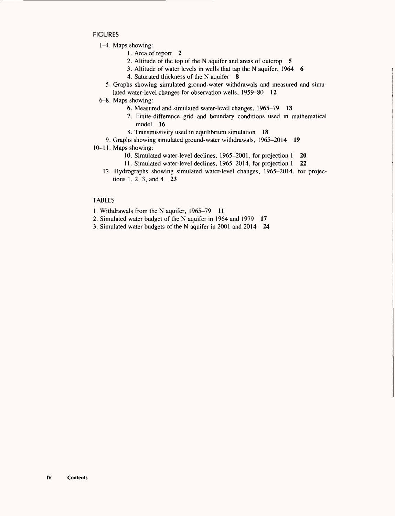**FIGURES** 

- 1<sup>-4</sup>. Maps showing:
	- 1. Area of report 2
	- 2. Altitude of the top of the N aquifer and areas of outcrop 5
	- 3. Altitude of water levels in wells that tap the N aquifer, 1964 6
	- 4. Saturated thickness of the N aquifer 8
	- 5. Graphs showing simulated ground-water withdrawals and measured and simulated water-level changes for observation wells, 1959-80 **12**
- 6-8. Maps showing:
	- 6. Measured and simulated water-level changes, 1965-79 **13**
	- 7. Finite-difference grid and boundary conditions used in mathematical model **16**
	- 8. Transmissivity used in equilibrium simulation 18
- 9. Graphs showing simulated ground-water withdrawals, 1965-2014 **19**
- 10-11. Maps showing:
	- 10. Simulated water-level declines, 1965-2001, for projection 1 20
	- 11. Simulated water-level declines, 1965-2014, for projection 1 22
	- 12. Hydrographs showing simulated water-level changes, 1965-2014, for projections 1, 2, 3, and 4 23

# TABLES

- 1. Withdrawals from the N aquifer, 1965-79 **11**
- 2. Simulated water budget of the N aquifer in 1964 and 1979 **17**
- 3. Simulated water budgets of the N aquifer in 2001 and 2014 24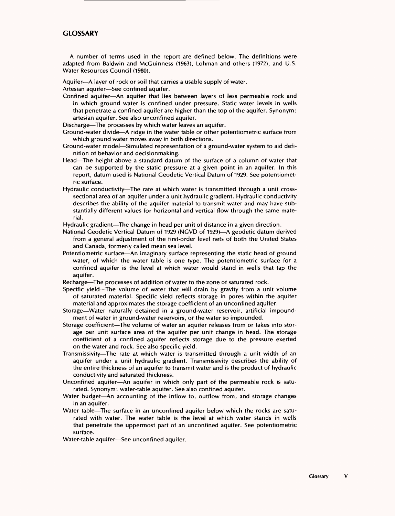# **GLOSSARY**

A number of terms used in the report are defined below. The definitions were adapted from Baldwin and McGuinness (1963), Lohman and others (1972), and U.S. Water Resources Council (1980).

Aquifer-A layer of rock or soil that carries a usable supply of water.

Artesian aquifer-See confined aquifer.

Confined aquifer An aquifer that lies between layers of less permeable rock and in which ground water is confined under pressure. Static water levels in wells that penetrate a confined aquifer are higher than the top of the aquifer. Synonym: artesian aquifer. See also unconfined aquifer.

Discharge-The processes by which water leaves an aquifer.

- Ground-water divide-A ridge in the water table or other potentiometric surface from which ground water moves away in both directions.
- Ground-water model—Simulated representation of a ground-water system to aid definition of behavior and decisionmaking.
- Head—The height above a standard datum of the surface of a column of water that can be supported by the static pressure at a given point in an aquifer. In this report, datum used is National Geodetic Vertical Datum of 1929. See potentiometric surface.
- Hydraulic conductivity—The rate at which water is transmitted through a unit crosssectional area of an aquifer under a unit hydraulic gradient. Hydraulic conductivity describes the ability of the aquifer material to transmit water and may have substantially different values for horizontal and vertical flow through the same material.

Hydraulic gradient-The change in head per unit of distance in a given direction.

- National Geodetic Vertical Datum of 1929 (NGVD of 1929)—A geodetic datum derived from a general adjustment of the first-order level nets of both the United States and Canada, formerly called mean sea level.
- Potentiometric surface An imaginary surface representing the static head of ground water, of which the water table is one type. The potentiometric surface for a confined aquifer is the level at which water would stand in wells that tap the aquifer.

Recharge—The processes of addition of water to the zone of saturated rock.

- Specific yield—The volume of water that will drain by gravity from a unit volume of saturated material. Specific yield reflects storage in pores within the aquifer material and approximates the storage coefficient of an unconfined aquifer.
- Storage-Water naturally detained in a ground-water reservoir, artificial impoundment of water in ground-water reservoirs, or the water so impounded.
- Storage coefficient—The volume of water an aquifer releases from or takes into storage per unit surface area of the aquifer per unit change in head. The storage coefficient of a confined aquifer reflects storage due to the pressure exerted on the water and rock. See also specific yield.
- Transmissivity-The rate at which water is transmitted through a unit width of an aquifer under a unit hydraulic gradient. Transmissivity describes the ability of the entire thickness of an aquifer to transmit water and is the product of hydraulic conductivity and saturated thickness.
- Unconfined aquifer—An aquifer in which only part of the permeable rock is saturated. Synonym: water-table aquifer. See also confined aquifer.
- Water budget—An accounting of the inflow to, outflow from, and storage changes in an aquifer.
- Water table—The surface in an unconfined aquifer below which the rocks are saturated with water. The water table is the level at which water stands in wells that penetrate the uppermost part of an unconfined aquifer. See potentiometric surface.
- Water-table aquifer-See unconfined aquifer.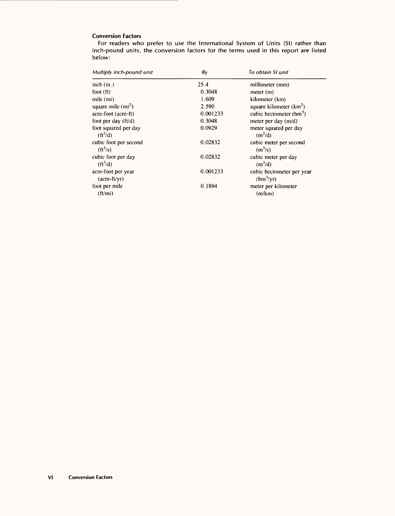# **Conversion Factors**

For readers who prefer to use the International System of Units (SI) rather than inch-pound units, the conversion factors for the terms used in this report are listed below:

| Multiply inch-pound unit               | $B_V$    | To obtain SI unit                                  |  |  |
|----------------------------------------|----------|----------------------------------------------------|--|--|
| inch (in.)                             | 25.4     | millimeter (mm)                                    |  |  |
| foot (ft)                              | 0.3048   | meter (m)                                          |  |  |
| mile (mi)                              | 1.609    | kilometer (km)                                     |  |  |
| square mile $(m2)$                     | 2.590    | square kilometer $(km^2)$                          |  |  |
| acre-foot (acre-ft)                    | 0.001233 | cubic hectometer $(hm3)$                           |  |  |
| foot per day $(f t/d)$                 | 0.3048   | meter per day $(m/d)$                              |  |  |
| foot squared per day<br>$(ft^2/d)$     | 0.0929   | meter squared per day<br>(m <sup>2</sup> /d)       |  |  |
| cubic foot per second<br>$(ft^3/s)$    | 0.02832  | cubic meter per second<br>$(m^3/s)$                |  |  |
| cubic foot per day<br>$({\rm ft}^3/d)$ | 0.02832  | cubic meter per day<br>(m <sup>3</sup> /d)         |  |  |
| acre-foot per year<br>$(\arctan(x)$    | 0.001233 | cubic hectometer per year<br>(hm <sup>3</sup> /yr) |  |  |
| foot per mile<br>(ft/mi)               | 0.1894   | meter per kilometer<br>(m/km)                      |  |  |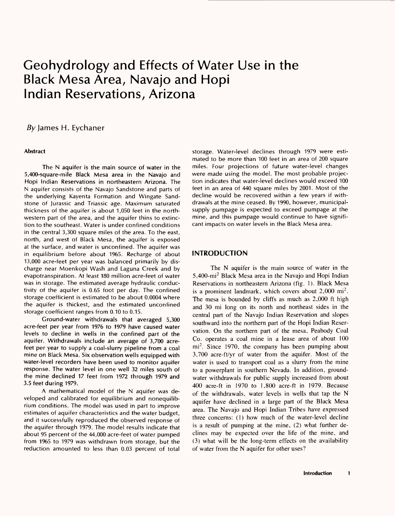# Geohydrology and Effects of Water Use in the Black Mesa Area, Navajo and Hopi Indian Reservations, Arizona

# By James H. Eychaner

#### **Abstract**

The N aquifer is the main source of water in the 5,400-square-mile Black Mesa area in the Navajo and Hopi Indian Reservations in northeastern Arizona. The N aquifer consists of the Navajo Sandstone and parts of the underlying Kayenta Formation and Wingate Sandstone of Jurassic and Triassic age. Maximum saturated thickness of the aquifer is about 1,050 feet in the northwestern part of the area, and the aquifer thins to extinction to the southeast. Water is under confined conditions in the central 3,300 square miles of the area. To the east, north, and west of Black Mesa, the aquifer is exposed at the surface, and water is unconfined. The aquifer was in equilibrium before about 1965. Recharge of about 13,000 acre-feet per year was balanced primarily by discharge near Moenkopi Wash and Laguna Creek and by evapotranspiration. At least 180 million acre-feet of water was in storage. The estimated average hydraulic conductivity of the aquifer is 0.65 foot per day. The confined storage coefficient is estimated to be about 0.0004 where the aquifer is thickest, and the estimated unconfined storage coefficient ranges from 0.10 to 0.15.

Ground-water withdrawals that averaged 5,300 acre-feet per year from 1976 to 1979 have caused water levels to decline in wells in the confined part of the aquifer. Withdrawals include an average of 3,700 acrefeet per year to supply a coal-slurry pipeline from a coal mine on Black Mesa. Six observation wells equipped with water-level recorders have been used to monitor aquifer response. The water level in one well 32 miles south of the mine declined 17 feet from 1972 through 1979 and 3.5 feet during 1979.

A mathematical model of the N aquifer was developed and calibrated for equilibrium and nonequilibrium conditions. The model was used in part to improve estimates of aquifer characteristics and the water budget, and it successfully reproduced the observed response of the aquifer through 1979. The model results indicate that about 95 percent of the 44,000 acre-feet of water pumped from 1965 to 1979 was withdrawn from storage, but the reduction amounted to less than 0.03 percent of total

storage. Water-level declines through 1979 were estimated to be more than 100 feet in an area of 200 square miles. Four projections of future water-level changes were made using the model. The most probable projection indicates that water-level declines would exceed 100 feet in an area of 440 square miles by 2001. Most of the decline would be recovered within a few years if withdrawals at the mine ceased. By 1990, however, municipalsupply pumpage is expected to exceed pumpage at the mine, and this pumpage would continue to have significant impacts on water levels in the Black Mesa area.

# **INTRODUCTION**

The N aquifer is the main source of water in the 5,400-mi2 Black Mesa area in the Navajo and Hopi Indian Reservations in northeastern Arizona (fig. 1). Black Mesa is a prominent landmark, which covers about  $2,000$  mi<sup>2</sup>. The mesa is bounded by cliffs as much as 2,000 ft high and 30 mi long on its north and northeast sides in the central part of the Navajo Indian Reservation and slopes southward into the northern part of the Hopi Indian Reservation. On the northern part of the mesa, Peabody Coal Co. operates a coal mine in a lease area of about 100 mi<sup>2</sup>. Since 1970, the company has been pumping about 3,700 acre-ft/yr of water from the aquifer. Most of the water is used to transport coal as a slurry from the mine to a powerplant in southern Nevada. In addition, groundwater withdrawals for public supply increased from about 400 acre-ft in 1970 to 1,800 acre-ft in 1979. Because of the withdrawals, water levels in wells that tap the N aquifer have declined in a large part of the Black Mesa area. The Navajo and Hopi Indian Tribes have expressed three concerns: (1) how much of the water-level decline is a result of pumping at the mine, (2) what further declines may be expected over the life of the mine, and (3) what will be the long-term effects on the availability of water from the N aquifer for other uses?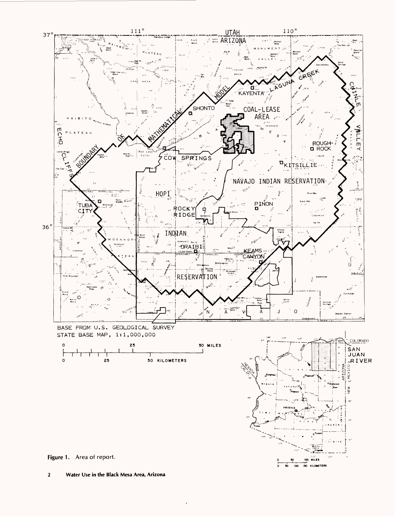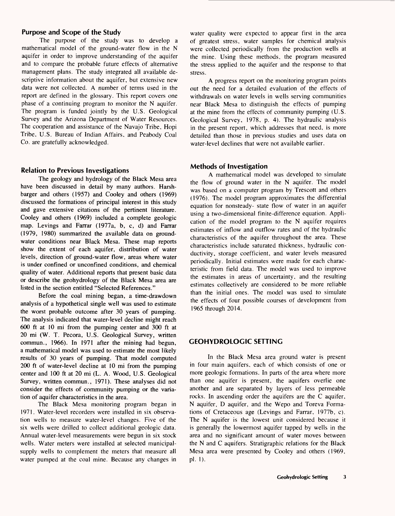# **Purpose and Scope of the Study**

The purpose of the study was to develop a mathematical model of the ground-water flow in the N aquifer in order to improve understanding of the aquifer and to compare the probable future effects of alternative management plans. The study integrated all available descriptive information about the aquifer, but extensive new data were not collected. A number of terms used in the report are defined in the glossary. This report covers one phase of a continuing program to monitor the N aquifer. The program is funded jointly by the U.S. Geological Survey and the Arizona Department of Water Resources. The cooperation and assistance of the Navajo Tribe, Hopi Tribe, U.S. Bureau of Indian Affairs, and Peabody Coal Co. are gratefully acknowledged.

# **Relation to Previous Investigations**

The geology and hydrology of the Black Mesa area have been discussed in detail by many authors. Harshbarger and others (1957) and Cooley and others (1969) discussed the formations of principal interest in this study and gave extensive citations of the pertinent literature. Cooley and others (1969) included a complete geologic map. Levings and Farrar (1977a, b, c, d) and Farrar (1979, 1980) summarized the available data on groundwater conditions near Black Mesa. These map reports show the extent of each aquifer, distribution of water levels, direction of ground-water flow, areas where water is under confined or unconfined conditions, and chemical quality of water. Additional reports that present basic data or describe the geohydrology of the Black Mesa area are listed in the section entitled "Selected References."

Before the coal mining began, a time-drawdown analysis of a hypothetical single well was used to estimate the worst probable outcome after 30 years of pumping. The analysis indicated that water-level decline might reach 600 ft at 10 mi from the pumping center and 300 ft at 20 mi (W. T. Pecora, U.S. Geological Survey, written commun., 1966). In 1971 after the mining had begun, a mathematical model was used to estimate the most likely results of 30 years of pumping. That model computed 200 ft of water-level decline at 10 mi from the pumping center and 100 ft at 20 mi (L. A. Wood, U.S. Geological Survey, written commun., 1971). These analyses did not consider the effects of community pumping or the variation of aquifer characteristics in the area.

The Black Mesa monitoring program began in 1971. Water-level recorders were installed in six observation wells to measure water-level changes. Five of the six wells were drilled to collect additional geologic data. Annual water-level measurements were begun in six stock wells. Water meters were installed at selected municipalsupply wells to complement the meters that measure all water pumped at the coal mine. Because any changes in water quality were expected to appear first in the area of greatest stress, water samples for chemical analysis were collected periodically from the production wells at the mine. Using these methods, the program measured the stress applied to the aquifer and the response to that stress.

A progress report on the monitoring program points out the need for a detailed evaluation of the effects of withdrawals on water levels in wells serving communities near Black Mesa to distinguish the effects of pumping at the mine from the effects of community pumping (U.S. Geological Survey, 1978, p. 4). The hydraulic analysis in the present report, which addresses that need, is more detailed than those in previous studies and uses data on water-level declines that were not available earlier.

# **Methods of Investigation**

A mathematical model was developed to simulate the flow of ground water in the N aquifer. The model was based on a computer program by Trescott and others (1976). The model program approximates the differential equation for nonsteady- state flow of water in an aquifer using a two-dimensional finite-difference equation. Application of the model program to the N aquifer requires estimates of inflow and outflow rates and of the hydraulic characteristics of the aquifer throughout the area. These characteristics include saturated thickness, hydraulic conductivity, storage coefficient, and water levels measured periodically. Initial estimates were made for each characteristic from field data. The model was used to improve the estimates in areas of uncertainty, and the resulting estimates collectively are considered to be more reliable than the initial ones. The model was used to simulate the effects of four possible courses of development from 1965 through 2014.

# **GEOHYDROLOGIC SETTING**

In the Black Mesa area ground water is present in four main aquifers, each of which consists of one or more geologic formations. In parts of the area where more than one aquifer is present, the aquifers overlie one another and are separated by layers of less permeable rocks. In ascending order the aquifers are the C aquifer, N aquifer, D aquifer, and the Wepo and Toreva Formations of Cretaceous age (Levings and Farrar, 1977b, c). The N aquifer is the lowest unit considered because it is generally the lowermost aquifer tapped by wells in the area and no significant amount of water moves between the N and C aquifers. Stratigraphic relations for the Black Mesa area were presented by Cooley and others (1969, pi. 1).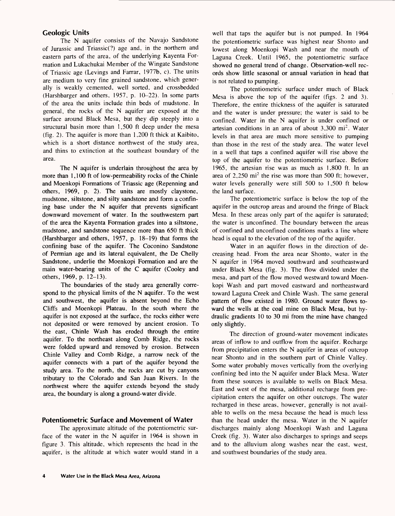# **Geologic Units**

The N aquifer consists of the Navajo Sandstone of Jurassic and Triassic(?) age and, in the northern and eastern parts of the area, of the underlying Kayenta Formation and Lukachukai Member of the Wingate Sandstone of Triassic age (Levings and Farrar, 1977b, c). The units are medium to very fine grained sandstone, which generally is weakly cemented, well sorted, and crossbedded (Harshbarger and others, 1957, p. 10-22). In some parts of the area the units include thin beds of mudstone. In general, the rocks of the N aquifer are exposed at the surface around Black Mesa, but they dip steeply into a structural basin more than 1,500 ft deep under the mesa (fig. 2). The aquifer is more than 1,200 ft thick at Kaibito, which is a short distance northwest of the study area, and thins to extinction at the southeast boundary of the area.

The N aquifer is underlain throughout the area by more than 1,100 ft of low-permeability rocks of the Chinle and Moenkopi Formations of Triassic age (Repenning and others,  $1969$ , p. 2). The units are mostly claystone, mudstone, siltstone, and silty sandstone and form a confining base under the N aquifer that prevents significant downward movement of water. In the southwestern part of the area the Kayenta Formation grades into a siltstone, mudstone, and sandstone sequence more than 650 ft thick (Harshbarger and others, 1957, p. 18-19) that forms the confining base of the aquifer. The Coconino Sandstone of Permian age and its lateral equivalent, the De Chelly Sandstone, underlie the Moenkopi Formation and are the main water-bearing units of the C aquifer (Cooley and others, 1969, p. 12-13).

The boundaries of the study area generally correspond to the physical limits of the N aquifer. To the west and southwest, the aquifer is absent beyond the Echo Cliffs and Moenkopi Plateau. In the south where the aquifer is not exposed at the surface, the rocks either were not deposited or were removed by ancient erosion. To the east, Chinle Wash has eroded through the entire aquifer. To the northeast along Comb Ridge, the rocks were folded upward and removed by erosion. Between Chinle Valley and Comb Ridge, a narrow neck of the aquifer connects with a part of the aquifer beyond the study area. To the north, the rocks are cut by canyons tributary to the Colorado and San Juan Rivers. In the northwest where the aquifer extends beyond the study area, the boundary is along a ground-water divide.

#### **Potentiometric Surface and Movement of Water**

The approximate altitude of the potentiometric surface of the water in the N aquifer in 1964 is shown in figure 3. This altitude, which represents the head in the aquifer, is the altitude at which water would stand in a well that taps the aquifer but is not pumped. In 1964 the potentiometric surface was highest near Shonto and lowest along Moenkopi Wash and near the mouth of Laguna Creek. Until 1965, the potentiometric surface showed no general trend of change. Observation-well records show little seasonal or annual variation in head that is not related to pumping.

The potentiometric surface under much of Black Mesa is above the top of the aquifer (figs. 2 and 3). Therefore, the entire thickness of the aquifer is saturated and the water is under pressure; the water is said to be confined. Water in the N aquifer is under confined or artesian conditions in an area of about  $3,300$  mi<sup>2</sup>. Water levels in that area are much more sensitive to pumping than those in the rest of the study area. The water level in a well that taps a confined aquifer will rise above the top of the aquifer to the potentiometric surface. Before 1965, the artesian rise was as much as 1,800 ft. In an area of  $2,250$  mi<sup>2</sup> the rise was more than 500 ft; however, water levels generally were still 500 to 1,500 ft below the land surface.

The potentiometric surface is below the top of the aquifer in the outcrop areas and around the fringe of Black Mesa. In these areas only part of the aquifer is saturated; the water is unconfined. The boundary between the areas of confined and unconfined conditions marks a line where head is equal to the elevation of the top of the aquifer.

Water in an aquifer flows in the direction of decreasing head. From the area near Shonto, water in the N aquifer in 1964 moved southward and southeastward under Black Mesa (fig. 3). The flow divided under the mesa, and part of the flow moved westward toward Moenkopi Wash and part moved eastward and northeastward toward Laguna Creek and Chinle Wash. The same general pattern of flow existed in 1980. Ground water flows toward the wells at the coal mine on Black Mesa, but hydraulic gradients 10 to 30 mi from the mine have changed only slightly.

The direction of ground-water movement indicates areas of inflow to and outflow from the aquifer. Recharge from precipitation enters the N aquifer in areas of outcrop near Shonto and in the southern part of Chinle Valley. Some water probably moves vertically from the overlying confining bed into the N aquifer under Black Mesa. Water from these sources is available to wells on Black Mesa. East and west of the mesa, additional recharge from precipitation enters the aquifer on other outcrops. The water recharged in these areas, however, generally is not available to wells on the mesa because the head is much less than the head under the mesa. Water in the N aquifer discharges mainly along Moenkopi Wash and Laguna Creek (fig. 3). Water also discharges to springs and seeps and to the alluvium along washes near the east, west, and southwest boundaries of the study area.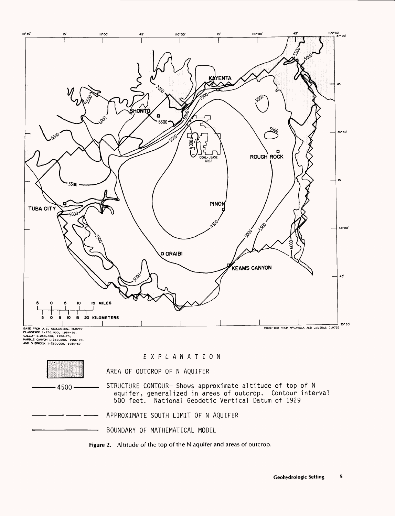

STRUCTURE CONTOUR-Shows approximate altitude of top of N aquifer, generalized in areas of outcrop. Contour interval 500 feet. National Geodetic Vertical Datum of 1929

APPROXIMATE SOUTH LIMIT OF N AQUIFER

BOUNDARY OF MATHEMATICAL MODEL

 $-4500-$ 

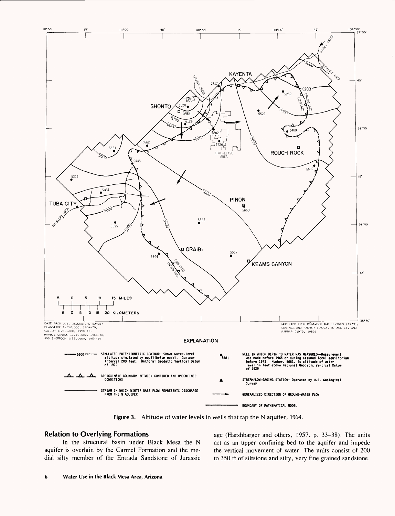

**Figure 3.** Altitude of water levels in wells that tap the N aquifer, 1964.

# **Relation to Overlying Formations**

In the structural basin under Black Mesa the N aquifer is overlain by the Carmel Formation and the medial silty member of the Entrada Sandstone of Jurassic age (Harshbarger and others, 1957, p. 33-38). The units act as an upper confining bed to the aquifer and impede the vertical movement of water. The units consist of 200 to 350 ft of siltstone and silty, very fine grained sandstone.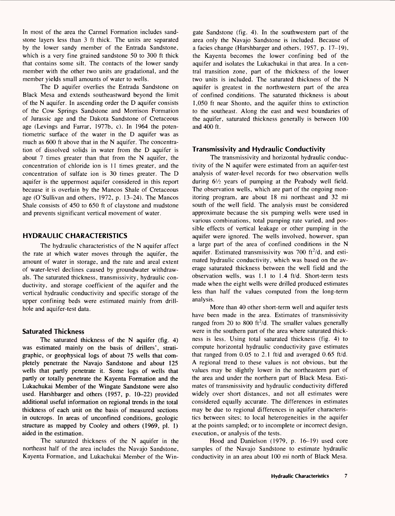In most of the area the Carmel Formation includes sandstone layers less than 3 ft thick. The units are separated by the lower sandy member of the Entrada Sandstone, which is a very fine grained sandstone 50 to 300 ft thick that contains some silt. The contacts of the lower sandy member with the other two units are gradational, and the member yields small amounts of water to wells.

The D aquifer overlies the Entrada Sandstone on Black Mesa and extends southeastward beyond the limit of the N aquifer. In ascending order the D aquifer consists of the Cow Springs Sandstone and Morrison Formation of Jurassic age and the Dakota Sandstone of Cretaceous age (Levings and Farrar, 1977b, c). In 1964 the potentiometric surface of the water in the D aquifer was as much as 600 ft above that in the N aquifer. The concentration of dissolved solids in water from the D aquifer is about 7 times greater than that from the N aquifer, the concentration of chloride ion is 11 times greater, and the concentration of sulfate ion is 30 times greater. The D aquifer is the uppermost aquifer considered in this report because it is overlain by the Mancos Shale of Cretaceous age (O'Sullivan and others, 1972, p. 13-24). The Mancos Shale consists of 450 to 650 ft of claystone and mudstone and prevents significant vertical movement of water.

# **HYDRAULIC CHARACTERISTICS**

The hydraulic characteristics of the N aquifer affect the rate at which water moves through the aquifer, the amount of water in storage, and the rate and areal extent of water-level declines caused by groundwater withdrawals. The saturated thickness, transmissivity, hydraulic conductivity, and storage coefficient of the aquifer and the vertical hydraulic conductivity and specific storage of the upper confining beds were estimated mainly from drillhole and aquifer-test data.

# **Saturated Thickness**

The saturated thickness of the N aquifer (fig. 4) was estimated mainly on the basis of drillers', stratigraphic, or geophysical logs of about 75 wells that completely penetrate the Navajo Sandstone and about 125 wells that partly penetrate it. Some logs of wells that partly or totally penetrate the Kayenta Formation and the Lukachukai Member of the Wingate Sandstone were also used. Harshbarger and others (1957, p. 10-22) provided additional useful information on regional trends in the total thickness of each unit on the basis of measured sections in outcrops. In areas of unconfined conditions, geologic structure as mapped by Cooley and others (1969, pi. 1) aided in the estimation.

The saturated thickness of the N aquifer in the northeast half of the area includes the Navajo Sandstone, Kayenta Formation, and Lukachukai Member of the Wingate Sandstone (fig. 4). In the southwestern part of the area only the Navajo Sandstone is included. Because of a facies change (Harshbarger and others, 1957, p. 17-19), the Kayenta becomes the lower confining bed of the aquifer and isolates the Lukachukai in that area. In a central transition zone, part of the thickness of the lower two units is included. The saturated thickness of the N aquifer is greatest in the northwestern part of the area of confined conditions. The saturated thickness is about 1,050 ft near Shonto, and the aquifer thins to extinction to the southeast. Along the east and west boundaries of the aquifer, saturated thickness generally is between 100 and 400 ft.

# **Transmissivity and Hydraulic Conductivity**

The transmissivity and horizontal hydraulic conductivity of the N aquifer were estimated from an aquifer-test analysis of water-level records for two observation wells during  $6\frac{1}{2}$  years of pumping at the Peabody well field. The observation wells, which are part of the ongoing monitoring program, are about 18 mi northeast and 32 mi south of the well field. The analysis must be considered approximate because the six pumping wells were used in various combinations, total pumping rate varied, and possible effects of vertical leakage or other pumping in the aquifer were ignored. The wells involved, however, span a large part of the area of confined conditions in the N aquifer. Estimated transmissivity was  $700$  ft<sup>2</sup>/d, and estimated hydraulic conductivity, which was based on the average saturated thickness between the well field and the observation wells, was 1.1 to 1.4 ft/d. Short-term tests made when the eight wells were drilled produced estimates less than half the values computed from the long-term analysis.

More than 40 other short-term well and aquifer tests have been made in the area. Estimates of transmissivity ranged from 20 to 800 ft<sup>2</sup>/d. The smaller values generally were in the southern part of the area where saturated thickness is less. Using total saturated thickness (fig. 4) to compute horizontal hydraulic conductivity gave estimates that ranged from 0.05 to 2.1 ft/d and averaged 0.65 ft/d. A regional trend to these values is not obvious, but the values may be slightly lower in the northeastern part of the area and under the northern part of Black Mesa. Estimates of transmissivity and hydraulic conductivity differed widely over short distances, and not all estimates were considered equally accurate. The differences in estimates may be due to regional differences in aquifer characteristics between sites; to local heterogeneities in the aquifer at the points sampled; or to incomplete or incorrect design, execution, or analysis of the tests.

Hood and Danielson (1979, p. 16-19) used core samples of the Navajo Sandstone to estimate hydraulic conductivity in an area about 100 mi north of Black Mesa.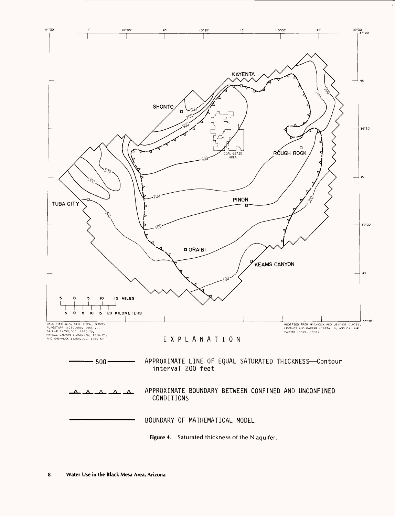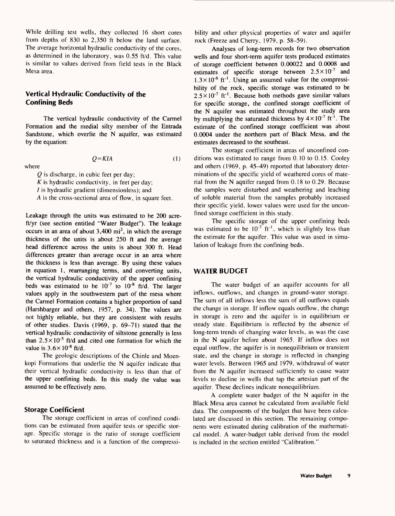While drilling test wells, they collected 16 short cores from depths of 830 to 2,350 ft below the land surface. The average horizontal hydraulic conductivity of the cores, as determined in the laboratory, was 0.55 ft/d. This value is similar to values derived from field tests in the Black Mesa area.

# **Vertical Hydraulic Conductivity of the Confining Beds**

The vertical hydraulic conductivity of the Carmel Formation and the medial silty member of the Entrada Sandstone, which overlie the N aquifer, was estimated by the equation:

where

 $Q=KIA$  (1)

*Q* is discharge, in cubic feet per day; *K* is hydraulic conductivity, in feet per day; / is hydraulic gradient (dimensionless); and *A* is the cross-sectional area of flow, in square feet.

Leakage through the units was estimated to be 200 acreft/yr (see section entitled "Water Budget"). The leakage occurs in an area of about  $3,400 \text{ mi}^2$ , in which the average thickness of the units is about 250 ft and the average head difference across the units is about 300 ft. Head differences greater than average occur in an area where the thickness is less than average. By using these values in equation 1, rearranging terms, and converting units, the vertical hydraulic conductivity of the upper confining beds was estimated to be  $10^{-7}$  to  $10^{-8}$  ft/d. The larger values apply in the southwestern part of the mesa where the Carmel Formation contains a higher proportion of sand (Harshbarger and others, 1957, p. 34). The values are not highly reliable, but they are consistent with results of other studies. Davis (1969, p. 69-71) stated that the vertical hydraulic conductivity of siltstone generally is less than  $2.5 \times 10^{-5}$  ft/d and cited one formation for which the value is  $3.6 \times 10^{-8}$  ft/d.

The geologic descriptions of the Chinle and Moenkopi Formations that underlie the N aquifer indicate that their vertical hydraulic conductivity is less than that of the upper confining beds. In this study the value was assumed to be effectively zero.

#### **Storage Coefficient**

The storage coefficient in areas of confined conditions can be estimated from aquifer tests or specific storage. Specific storage is the ratio of storage coefficient to saturated thickness and is a function of the compressibility and other physical properties of water and aquifer rock (Freeze and Cherry, 1979, p. 58-59).

Analyses of long-term records for two observation wells and four short-term aquifer tests produced estimates of storage coefficient between 0.00022 and 0.0008 and estimates of specific storage between  $2.5 \times 10^{-7}$  and  $1.3 \times 10^{-6}$  ft<sup>-1</sup>. Using an assumed value for the compressibility of the rock, specific storage was estimated to be  $2.5 \times 10^{-7}$  ft<sup>-1</sup>. Because both methods gave similar values for specific storage, the confined storage coefficient of the N aquifer was estimated throughout the study area by multiplying the saturated thickness by  $4 \times 10^{-7}$  ft<sup>-1</sup>. The estimate of the confined storage coefficient was about 0.0004 under the northern part of Black Mesa, and the estimates decreased to the southeast.

The storage coefficient in areas of unconfined conditions was estimated to range from 0.10 to 0.15. Cooley and others (1969, p. 45-49) reported that laboratory determinations of the specific yield of weathered cores of material from the N aquifer ranged from 0.18 to 0.29. Because the samples were disturbed and weathering and leaching of soluble material from the samples probably increased their specific yield, lower values were used for the unconfined storage coefficient in this study.

The specific storage of the upper confining beds was estimated to be  $10^{-7}$  ft<sup>-1</sup>, which is slightly less than the estimate for the aquifer. This value was used in simulation of leakage from the confining beds.

# **WATER BUDGET**

The water budget of an aquifer accounts for all inflows, outflows, and changes in ground-water storage. The sum of all inflows less the sum of all outflows equals the change in storage. If inflow equals outflow, the change in storage is zero and the aquifer is in equilibrium or steady state. Equilibrium is reflected by the absence of long-term trends of changing water levels, as was the case in the N aquifer before about 1965. If inflow does not equal outflow, the aquifer is in nonequilibrium or transient state, and the change in storage is reflected in changing water levels. Between 1965 and 1979, withdrawal of water from the N aquifer increased sufficiently to cause water levels to decline in wells that tap the artesian part of the aquifer. These declines indicate nonequilibrium.

A complete water budget of the N aquifer in the Black Mesa area cannot be calculated from available field data. The components of the budget that have been calculated are discussed in this section. The remaining components were estimated during calibration of the mathematical model. A water-budget table derived from the model is included in the section entitled "Calibration."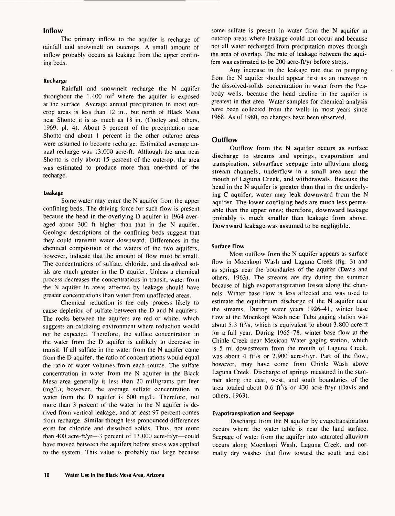# **Inflow**

The primary inflow to the aquifer is recharge of rainfall and snowmelt on outcrops. A small amount of inflow probably occurs as leakage from the upper confining beds.

### **Recharge**

Rainfall and snowmelt recharge the N aquifer throughout the  $1,400 \text{ mi}^2$  where the aquifer is exposed at the surface. Average annual precipitation in most outcrop areas is less than 12 in., but north of Black Mesa near Shonto it is as much as 18 in. (Cooley and others, 1969, pi. 4). About 3 percent of the precipitation near Shonto and about 1 percent in the other outcrop areas were assumed to become recharge. Estimated average annual recharge was 13,000 acre-ft. Although the area near Shonto is only about 15 percent of the outcrop, the area was estimated to produce more than one-third of the recharge.

#### **Leakage**

Some water may enter the N aquifer from the upper confining beds. The driving force for such flow is present because the head in the overlying D aquifer in 1964 averaged about 300 ft higher than that in the N aquifer. Geologic descriptions of the confining beds suggest that they could transmit water downward. Differences in the chemical composition of the waters of the two aquifers, however, indicate that the amount of flow must be small. The concentrations of sulfate, chloride, and dissolved solids are much greater in the D aquifer. Unless a chemical process decreases the concentrations in transit, water from the N aquifer in areas affected by leakage should have greater concentrations than water from unaffected areas.

Chemical reduction is the only process likely to cause depletion of sulfate between the D and N aquifers. The rocks between the aquifers are red or white, which suggests an oxidizing environment where reduction would not be expected. Therefore, the sulfate concentration in the water from the D aquifer is unlikely to decrease in transit. If all sulfate in the water from the N aquifer came from the D aquifer, the ratio of concentrations would equal the ratio of water volumes from each source. The sulfate concentration in water from the N aquifer in the Black Mesa area generally is less than 20 milligrams per liter (mg/L); however, the average sulfate concentration in water from the D aquifer is 600 mg/L. Therefore, not more than 3 percent of the water in the N aquifer is derived from vertical leakage, and at least 97 percent comes from recharge. Similar though less pronounced differences exist for chloride and dissolved solids. Thus, not more than 400 acre-ft/yr-3 percent of 13,000 acre-ft/yr-could have moved between the aquifers before stress was applied to the system. This value is probably too large because

some sulfate is present in water from the N aquifer in outcrop areas where leakage could not occur and because not all water recharged from precipitation moves through the area of overlap. The rate of leakage between the aquifers was estimated to be 200 acre-ft/yr before stress.

Any increase in the leakage rate due to pumping from the N aquifer should appear first as an increase in the dissolved-solids concentration in water from the Peabody wells, because the head decline in the aquifer is greatest in that area. Water samples for chemical analysis have been collected from the wells in most years since 1968. As of 1980, no changes have been observed.

#### **Outflow**

Outflow from the N aquifer occurs as surface discharge to streams and springs, evaporation and transpiration, subsurface seepage into alluvium along stream channels, underflow in a small area near the mouth of Laguna Creek, and withdrawals. Because the head in the N aquifer is greater than that in the underlying C aquifer, water may leak downward from the N aquifer. The lower confining beds are much less permeable than the upper ones; therefore, downward leakage probably is much smaller than leakage from above. Downward leakage was assumed to be negligible.

#### **Surface Flow**

Most outflow from the N aquifer appears as surface flow in Moenkopi Wash and Laguna Creek (fig. 3) and as springs near the boundaries of the aquifer (Davis and others, 1963). The streams are dry during the summer because of high evapotranspiration losses along the channels. Winter base flow is less affected and was used to estimate the equilibrium discharge of the N aquifer near the streams. During water years 1926-41, winter base flow at the Moenkopi Wash near Tuba gaging station was about 5.3  $ft^3/s$ , which is equivalent to about 3,800 acre-ft for a full year. During 1965-78, winter base flow at the Chinle Creek near Mexican Water gaging station, which is 5 mi downstream from the mouth of Laguna Creek, was about 4 ft<sup>3</sup>/s or 2,900 acre-ft/yr. Part of the flow, however, may have come from Chinle Wash above Laguna Creek. Discharge of springs measured in the summer along the east, west, and south boundaries of the area totaled about 0.6 ft<sup>3</sup>/s or 430 acre-ft/yr (Davis and others, 1963).

#### **Evapotranspiration and Seepage**

Discharge from the N aquifer by evapotranspiration occurs where the water table is near the land surface. Seepage of water from the aquifer into saturated alluvium occurs along Moenkopi Wash, Laguna Creek, and normally dry washes that flow toward the south and east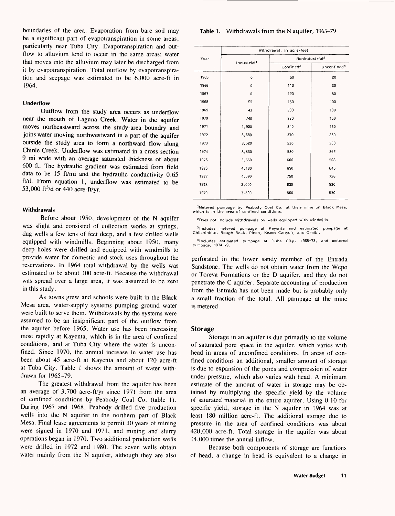boundaries of the area. Evaporation from bare soil may be a significant part of evapotranspiration in some areas, particularly near Tuba City. Evapotranspiration and outflow to alluvium tend to occur in the same areas; water that moves into the alluvium may later be discharged from it by evapotranspiration. Total outflow by evapotranspiration and seepage was estimated to be 6,000 acre-ft in 1964.

#### **Underflow**

Outflow from the study area occurs as underflow near the mouth of Laguna Creek. Water in the aquifer moves northeastward across the study-area boundry and joins water moving northwestward in a part of the aquifer outside the study area to form a northward flow along Chinle Creek. Underflow was estimated in a cross section 9 mi wide with an average saturated thickness of about 600 ft. The hydraulic gradient was estimated from field data to be 15 ft/mi and the hydraulic conductivity 0.65 ft/d. From equation 1, underflow was estimated to be 53,000 ft $3/$ d or 440 acre-ft/yr.

#### **Withdrawals**

Before about 1950, development of the N aquifer was slight and consisted of collection works at springs, dug wells a few tens of feet deep, and a few drilled wells equipped with windmills. Beginning about 1950, many deep holes were drilled and equipped with windmills to provide water for domestic and stock uses throughout the reservations. In 1964 total withdrawal by the wells was estimated to be about 100 acre-ft. Because the withdrawal was spread over a large area, it was assumed to be zero in this study.

As towns grew and schools were built in the Black Mesa area, water-supply systems pumping ground water were built to serve them. Withdrawals by the systems were assumed to be an insignificant part of the outflow from the aquifer before 1965. Water use has been increasing most rapidly at Kayenta, which is in the area of confined conditions, and at Tuba City where the water is unconfined. Since 1970, the annual increase in water use has been about 45 acre-ft at Kayenta and about 120 acre-ft at Tuba City. Table 1 shows the amount of water withdrawn for 1965-79.

The greatest withdrawal from the aquifer has been an average of 3,700 acre-ft/yr since 1971 from the area of confined conditions by Peabody Coal Co. (table 1). During 1967 and 1968, Peabody drilled five production wells into the N aquifer in the northern part of Black Mesa. Final lease agreements to permit 30 years of mining were signed in 1970 and 1971, and mining and slurry operations began in 1970. Two additional production wells were drilled in 1972 and 1980. The seven wells obtain water mainly from the N aquifer, although they are also

#### **Table 1** . Withdrawals from the N aquifer, 1965-79

|      | Withdrawal, in acre-feet |                            |                         |  |  |  |
|------|--------------------------|----------------------------|-------------------------|--|--|--|
| Year |                          | Nonindustrial <sup>2</sup> |                         |  |  |  |
|      | Industrial <sup>1</sup>  | Confined <sup>3</sup>      | Unconfined <sup>4</sup> |  |  |  |
| 1965 | 0                        | 50                         | 20                      |  |  |  |
| 1966 | 0                        | 110                        | 30                      |  |  |  |
| 1967 | 0                        | 120                        | 50                      |  |  |  |
| 1968 | 95                       | 150                        | 100                     |  |  |  |
| 1969 | 43                       | 200                        | 100                     |  |  |  |
| 1970 | 740                      | 280                        | 150                     |  |  |  |
| 1971 | 1,900                    | 340                        | 150                     |  |  |  |
| 1972 | 3,680                    | 370                        | 250                     |  |  |  |
| 1973 | 3,520                    | 530                        | 300                     |  |  |  |
| 1974 | 3,830                    | 580                        | 362                     |  |  |  |
| 1975 | 3,550                    | 600                        | 508                     |  |  |  |
| 1976 | 4,180                    | 690                        | 645                     |  |  |  |
| 1977 | 4,090                    | 750                        | 726                     |  |  |  |
| 1978 | 3,000                    | 830                        | 930                     |  |  |  |
| 1979 | 3,500                    | 860                        | 930                     |  |  |  |

<sup>1</sup>Metered pumpage by Peabody Coal Co. at their mine on Black Mesa, which is in the area of confined conditions.

<sup>2</sup> Does not include withdrawals by wells equipped with windmills.

<sup>3</sup>Includes metered pumpage at Kayenta and estimated pumpage at<br>Chilchinbito, Rough Rock, Pinon, Keams-Canyon, and-Oraibi.

<sup>4</sup> lncludes estimated pumpage at Tuba City, 1965-73, and metered pumpage, 1974-79.

perforated in the lower sandy member of the Entrada Sandstone. The wells do not obtain water from the Wepo or Toreva Formations or the D aquifer, and they do not penetrate the C aquifer. Separate accounting of production from the Entrada has not been made but is probably only a small fraction of the total. All pumpage at the mine is metered.

#### **Storage**

Storage in an aquifer is due primarily to the volume of saturated pore space in the aquifer, which varies with head in areas of unconfined conditions. In areas of confined conditions an additional, smaller amount of storage is due to expansion of the pores and compression of water under pressure, which also varies with head. A minimum estimate of the amount of water in storage may be obtained by multiplying the specific yield by the volume of saturated material in the entire aquifer. Using 0.10 for specific yield, storage in the N aquifer in 1964 was at least 180 million acre-ft. The additional storage due to pressure in the area of confined conditions was about 420,000 acre-ft. Total storage in the aquifer was about 14,000 times the annual inflow.

Because both components of storage are functions of head, a change in head is equivalent to a change in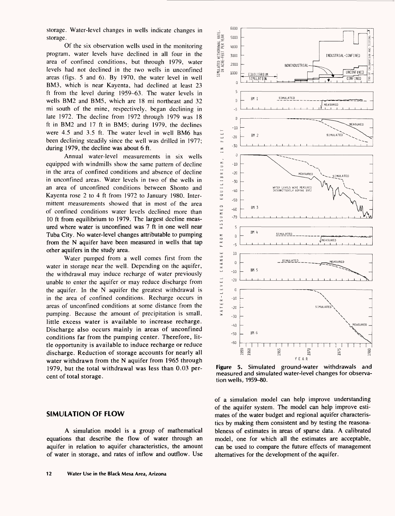storage. Water-level changes in wells indicate changes in storage.

Of the six observation wells used in the monitoring program, water levels have declined in all four in the area of confined conditions, but through 1979, water levels had not declined in the two wells in unconfined areas (figs. 5 and 6). By 1970, the water level in well BM3, which is near Kayenta, had declined at least 23 ft from the level during 1959-63. The water levels in wells BM2 and BM5, which are 18 mi northeast and 32 mi south of the mine, respectively, began declining in late 1972. The decline from 1972 through 1979 was 18 ft in BM2 and 17 ft in BM5; during 1979, the declines were 4.5 and 3.5 ft. The water level in well BM6 has been declining steadily since the well was drilled in 1977; during 1979, the decline was about 6 ft.

Annual water-level measurements in six wells equipped with windmills show the same pattern of decline in the area of confined conditions and absence of decline in unconfined areas. Water levels in two of the wells in an area of unconfined conditions between Shonto and Kayenta rose 2 to 4 ft from 1972 to January 1980. Intermittent measurements showed that in most of the area of confined conditions water levels declined more than 10 ft from equilibrium to 1979. The largest decline measured where water is unconfined was 7 ft in one well near Tuba City. No water-level changes attributable to pumping from the N aquifer have been measured in wells that tap other aquifers in the study area.

Water pumped from a well comes first from the water in storage near the well. Depending on the aquifer, the withdrawal may induce recharge of water previously unable to enter the aquifer or may reduce discharge from the aquifer. In the N aquifer the greatest withdrawal is in the area of confined conditions. Recharge occurs in areas of unconfined conditions at some distance from the pumping. Because the amount of precipitation is small, little excess water is available to increase recharge. Discharge also occurs mainly in areas of unconfined conditions far from the pumping center. Therefore, little opportunity is available to induce recharge or reduce discharge. Reduction of storage accounts for nearly all water withdrawn from the N aquifer from 1965 through 1979, but the total withdrawal was less than 0.03 percent of total storage.

# **SIMULATION OF FLOW**

A simulation model is a group of mathematical equations that describe the flow of water through an aquifer in relation to aquifer characteristics, the amount of water in storage, and rates of inflow and outflow. Use



**Figure 5.** Simulated ground-water withdrawals and measured and simulated water-level changes for observation wells, 1959-80.

of a simulation model can help improve understanding of the aquifer system. The model can help improve estimates of the water budget and regional aquifer characteristics by making them consistent and by testing the reasonableness of estimates in areas of sparse data. A calibrated model, one for which all the estimates are acceptable, can be used to compare the future effects of management alternatives for the development of the aquifer.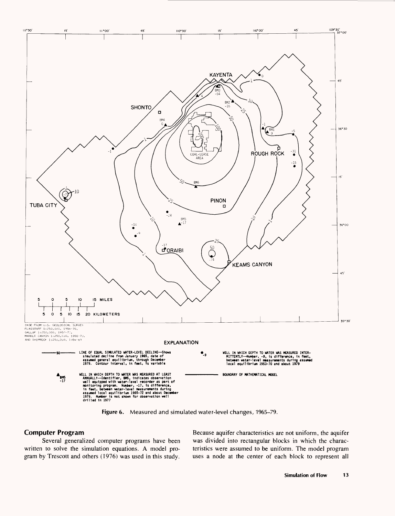

**Figure 6.** Measured and simulated water-level changes, 1965-79.

#### **Computer Program**

Several generalized computer programs have been written to solve the simulation equations. A model program by Trescott and others (1976) was used in this study. Because aquifer characteristics are not uniform, the aquifer was divided into rectangular blocks in which the characteristics were assumed to be uniform. The model program uses a node at the center of each block to represent all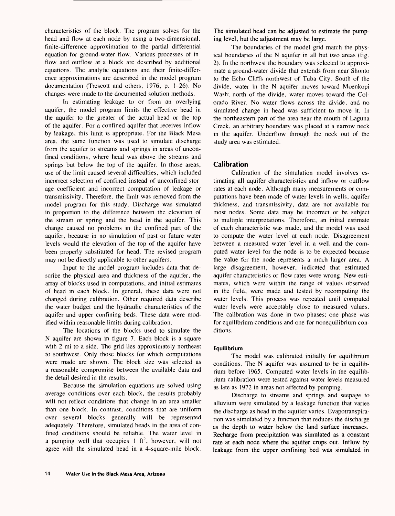characteristics of the block. The program solves for the head and flow at each node by using a two-dimensional, finite-difference approximation to the partial differential equation for ground-water flow. Various processes of inflow and outflow at a block are described by additional equations. The analytic equations and their finite-difference approximations are described in the model program documentation (Trescott and others, 1976, p. 1-26). No changes were made to the documented solution methods.

In estimating leakage to or from an overlying aquifer, the model program limits the effective head in the aquifer to the greater of the actual head or the top of the aquifer. For a confined aquifer that receives inflow by leakage, this limit is appropriate. For the Black Mesa area, the same function was used to simulate discharge from the aquifer to streams and springs in areas of unconfined conditions, where head was above the streams and springs but below the top of the aquifer. In those areas, use of the limit caused several difficulties, which included incorrect selection of confined instead of unconfined storage coefficient and incorrect computation of leakage or transmissivity. Therefore, the limit was removed from the model program for this study. Discharge was simulated in proportion to the difference between the elevation of the stream or spring and the head in the aquifer. This change caused no problems in the confined part of the aquifer, because in no simulation of past or future water levels would the elevation of the top of the aquifer have been properly substituted for head. The revised program may not be directly applicable to other aquifers.

Input to the model program includes data that describe the physical area and thickness of the aquifer, the array of blocks used in computations, and initial estimates of head in each block. In general, these data were not changed during calibration. Other required data describe the water budget and the hydraulic characteristics of the aquifer and upper confining beds. These data were modified within reasonable limits during calibration.

The locations of the blocks used to simulate the N aquifer are shown in figure 7. Each block is a square with 2 mi to a side. The grid lies approximately northeast to southwest. Only those blocks for which computations were made are shown. The block size was selected as a reasonable compromise between the available data and the detail desired in the results.

Because the simulation equations are solved using average conditions over each block, the results probably will not reflect conditions that change in an area smaller than one block. In contrast, conditions that are uniform over several blocks generally will be represented adequately. Therefore, simulated heads in the area of confined conditions should be reliable. The water level in a pumping well that occupies  $1 \text{ ft}^2$ , however, will not agree with the simulated head in a 4-square-mile block.

The simulated head can be adjusted to estimate the pumping level, but the adjustment may be large.

The boundaries of the model grid match the physical boundaries of the N aquifer in all but two areas (fig. 2). In the northwest the boundary was selected to approximate a ground-water divide that extends from near Shonto to the Echo Cliffs northwest of Tuba City. South of the divide, water in the N aquifer moves toward Moenkopi Wash; north of the divide, water moves toward the Colorado River. No water flows across the divide, and no simulated change in head was sufficient to move it. In the northeastern part of the area near the mouth of Laguna Creek, an arbitrary boundary was placed at a narrow neck in the aquifer. Underflow through the neck out of the study area was estimated.

# **Calibration**

Calibration of the simulation model involves estimating all aquifer characteristics and inflow or outflow rates at each node. Although many measurements or computations have been made of water levels in wells, aquifer thickness, and transmissivity, data are not available for most nodes. Some data may be incorrect or be subject to multiple interpretations. Therefore, an initial estimate of each characteristic was made, and the model was used to compute the water level at each node. Disagreement between a measured water level in a well and the computed water level for the node is to be expected because the value for the node represents a much larger area. A large disagreement, however, indicated that estimated aquifer characteristics or flow rates were wrong. New estimates, which were within the range of values observed in the field, were made and tested by recomputing the water levels. This process was repeated until computed water levels were acceptably close to measured values. The calibration was done in two phases; one phase was for equilibrium conditions and one for nonequilibrium conditions.

#### **Equilibrium**

The model was calibrated initially for equilibrium conditions. The N aquifer was assumed to be in equilibrium before 1965. Computed water levels in the equilibrium calibration were tested against water levels measured as late as 1972 in areas not affected by pumping.

Discharge to streams and springs and seepage to alluvium were simulated by a leakage function that varies the discharge as head in the aquifer varies. Evapotranspiration was simulated by a function that reduces the discharge as the depth to water below the land surface increases. Recharge from precipitation was simulated as a constant rate at each node where the aquifer crops out. Inflow by leakage from the upper confining bed was simulated in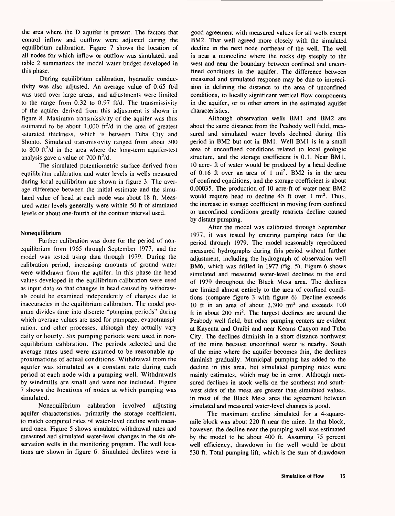the area where the D aquifer is present. The factors that control inflow and outflow were adjusted during the equilibrium calibration. Figure 7 shows the location of all nodes for which inflow or outflow was simulated, and table 2 summarizes the model water budget developed in this phase.

During equilibrium calibration, hydraulic conductivity was also adjusted. An average value of 0.65 ft/d was used over large areas, and adjustments were limited to the range from 0.32 to 0.97 ft/d. The transmissivity of the aquifer derived from this adjustment is shown in figure 8. Maximum transmissivity of the aquifer was thus estimated to be about 1,000 ft<sup>2</sup>/d in the area of greatest saturated thickness, which is between Tuba City and Shonto. Simulated transmissivity ranged from about 300 to 800 ft<sup>2</sup>/d in the area where the long-term aquifer-test analysis gave a value of 700 ft $2/d$ .

The simulated potentiometric surface derived from equilibrium calibration and water levels in wells measured during local equilibrium are shown in figure 3. The average difference between the initial estimate and the simulated value of head at each node was about 18 ft. Measured water levels generally were within 50 ft of simulated levels or about one-fourth of the contour interval used.

#### **Nonequilibrium**

Further calibration was done for the period of nonequilibrium from 1965 through September 1977, and the model was tested using data through 1979. During the calibration period, increasing amounts of ground water were withdrawn from the aquifer. In this phase the head values developed in the equilibrium calibration were used as input data so that changes in head caused by withdrawals could be examined independently of changes due to inaccuracies in the equilibrium calibration. The model program divides time into discrete "pumping periods" during which average values are used for pumpage, evapotranspiration, and other processes, although they actually vary daily or hourly. Six pumping periods were used in nonequilibrium calibration. The periods selected and the average rates used were assumed to be reasonable approximations of actual conditions. Withdrawal from the aquifer was simulated as a constant rate during each period at each node with a pumping well. Withdrawals by windmills are small and were not included. Figure 7 shows the locations of nodes at which pumping was simulated.

Nonequilibrium calibration involved adjusting aquifer characteristics, primarily the storage coefficient, to match computed rates of water-level decline with measured ones. Figure 5 shows simulated withdrawal rates and measured and simulated water-level changes in the six observation wells in the monitoring program. The well locations are shown in figure 6. Simulated declines were in

good agreement with measured values for all wells except BM2. That well agreed more closely with the simulated decline in the next node northeast of the well. The well is near a monocline where the rocks dip steeply to the west and near the boundary between confined and unconfined conditions in the aquifer. The difference between measured and simulated response may be due to imprecision in defining the distance to the area of unconfined conditions, to locally significant vertical flow components in the aquifer, or to other errors in the estimated aquifer characteristics.

Although observation wells BM1 and BM2 are about the same distance from the Peabody well field, measured and simulated water levels declined during this period in BM2 but not in BM1. Well BM1 is in a small area of unconfined conditions related to local geologic structure, and the storage coefficient is 0.1. Near BM1, 10 acre- ft of water would be produced by a head decline of 0.16 ft over an area of 1 mi<sup>2</sup>. BM2 is in the area of confined conditions, and the storage coefficient is about 0.00035. The production of 10 acre-ft of water near BM2 would require head to decline  $45$  ft over 1 mi<sup>2</sup>. Thus, the increase in storage coefficient in moving from confined to unconfined conditions greatly restricts decline caused by distant pumping.

After the model was calibrated through September 1977, it was tested by entering pumping rates for the period through 1979. The model reasonably reproduced measured hydrographs during this period without further adjustment, including the hydrograph of observation well BM6, which was drilled in 1977 (fig. 5). Figure 6 shows simulated and measured water-level declines to the end of 1979 throughout the Black Mesa area. The declines are limited almost entirely to the area of confined conditions (compare figure 3 with figure 6). Decline exceeds 10 ft in an area of about  $2,300$  mi<sup>2</sup> and exceeds 100 ft in about  $200 \text{ mi}^2$ . The largest declines are around the Peabody well field, but other pumping centers are evident at Kayenta and Oraibi and near Keams Canyon and Tuba City. The declines diminish in a short distance northwest of the mine because unconfined water is nearby. South of the mine where the aquifer becomes thin, the declines diminish gradually. Municipal pumping has added to the decline in this area, but simulated pumping rates were mainly estimates, which may be in error. Although measured declines in stock wells on the southeast and southwest sides of the mesa are greater than simulated values, in most of the Black Mesa area the agreement between simulated and measured water-level changes is good.

The maximum decline simulated for a 4-squaremile block was about 220 ft near the mine. In that block, however, the decline near the pumping well was estimated by the model to be about 400 ft. Assuming 75 percent well efficiency, drawdown in the well would be about 530 ft. Total pumping lift, which is the sum of drawdown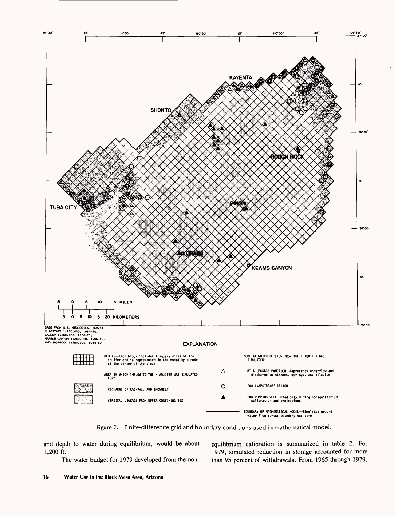

**Figure** 7. Finite-difference grid and boundary conditions used in mathematical model.

and depth to water during equilibrium, would be about equilibrium calibration is summarized in table 2. For 1,200 ft. 1979, simulated reduction in storage accounted for more The water budget for 1979 developed from the non- than 95 percent of withdrawals. From 1965 through 1979,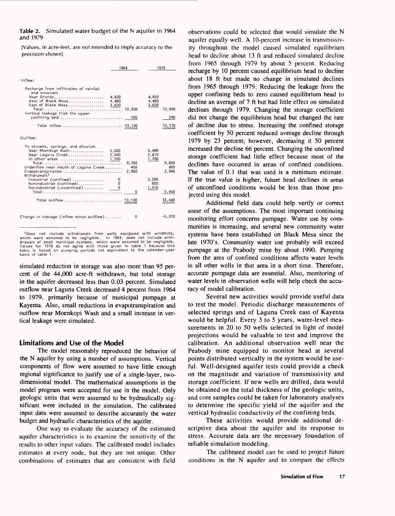#### **Table 2.** Simulated water budget of the N aquifer in 1964 and 1979

[Values, in acre-feet, are not intended to imply accuracy to the precision shown]

|                                                                                                                                                                                                                                                                                                                           | 1964                                                                        | 1979                                                                                         |  |  |
|---------------------------------------------------------------------------------------------------------------------------------------------------------------------------------------------------------------------------------------------------------------------------------------------------------------------------|-----------------------------------------------------------------------------|----------------------------------------------------------------------------------------------|--|--|
| Inflow:                                                                                                                                                                                                                                                                                                                   |                                                                             |                                                                                              |  |  |
| Recharge from infiltration of rainfall<br>and snowmelt<br>Near Shonto<br>West of Black Mesa<br>East of Black Mesa<br>Vertical leakage from the upper<br>confining bed<br>Total inflow  13,130                                                                                                                             | 4,830<br>4,480<br>3,620<br>200                                              | 4,830<br>4,480<br>3,620<br>12,930<br>240<br>13,170                                           |  |  |
| Outflow:                                                                                                                                                                                                                                                                                                                  |                                                                             |                                                                                              |  |  |
| To streams, springs, and alluvium<br>Near Moenkopi Wash<br>Near Laguna Creek<br>In other areas<br>Underflow near mouth of Laguna Creek<br>Evapotranspiration<br>Withdrawals <sup>1</sup><br>Industrial (confined) $\ldots$ ,,,,,,,,,,,<br>Nonindustrial (confined)<br>Nonindustrial (unconfined)<br>Total outflow  13,130 | 5,500<br>2,500<br>1,700<br>9.700<br>450<br>2,980<br>0<br>Ω<br>$\Omega$<br>0 | 5,490<br>2,410<br>1,700<br>9,600<br>450<br>2,940<br>3,590<br>850<br>1,010<br>5,450<br>18,440 |  |  |
| Change in storage (inflow minus outflow)                                                                                                                                                                                                                                                                                  | 0                                                                           | $-5,270$                                                                                     |  |  |

<sup>&</sup>lt;sup>1</sup>Does not include withdrawals from wells equipped with windmills,<br>hich were assumed to be negligible. In 1964, does not include withwhich were assumed to be negligible. drawals of small municipal systems, which were assumed to be negligible. Values for 1979 do not agree with those given in table 1 because this table is based on pumping periods not equivalent to the calendar-year basis of table 1 .

simulated reduction in storage was also more than 95 percent of the 44,000 acre-ft withdrawn, but total storage in the aquifer decreased less than 0.03 percent. Simulated outflow near Laguna Creek decreased 4 percent from 1964 to 1979, primarily because of municipal pumpage at Kayenta. Also, small reductions in evapotranspiration and outflow near Moenkopi Wash and a small increase in vertical leakage were simulated.

# **Limitations and Use of the Model**

The model reasonably reproduced the behavior of the N aquifer by using a number of assumptions. Vertical components of flow were assumed to have little enough regional significance to justify use of a single-layer, twodimensional model. The mathematical assumptions in the model program were accepted for use in the model. Only geologic units that were assumed to be hydraulically significant were included in the simulation. The calibrated input data were assumed to describe accurately the water budget and hydraulic characteristics of the aquifer.

One way to evaluate the accuracy of the estimated aquifer characteristics is to examine the sensitivity of the results to other input values. The calibrated model includes estimates at every node, but they are not unique. Other combinations of estimates that are consistent with field

observations could be selected that would simulate the N aquifer equally well. A 10-percent increase in transmissivity throughout the model caused simulated equilibrium head to decline about 13 ft and reduced simulated decline from 1965 through 1979 by about 5 percent. Reducing recharge by 10 percent caused equilibrium head to decline about 18 ft but made no change in simulated declines from 1965 through 1979. Reducing the leakage from the upper confining beds to zero caused equilibrium head to decline an average of 7 ft but had little effect on simulated declines through 1979. Changing the storage coefficient did not change the equilibrium head but changed the rate of decline due to stress. Increasing the confined storage coefficient by 50 percent reduced average decline through 1979 by 23 percent; however, decreasing it 50 percent increased the decline 66 percent. Changing the unconfined storage coefficient had little effect because most of the declines have occurred in areas of confined conditions. The value of 0.1 that was used is a minimum estimate. If the true value is higher, future head declines in areas of unconfined conditions would be less than those projected using this model.

Additional field data could help verify or correct some of the assumptions. The most important continuing monitoring effort concerns pumpage. Water use by communities is increasing, and several new community water systems have been established on Black Mesa since the late 1970's. Community water use probably will exceed pumpage at the Peabody mine by about 1990. Pumping from the area of confined conditions affects water levels in all other wells in that area in a short time. Therefore, accurate pumpage data are essential. Also, monitoring of water levels in observation wells will help check the accuracy of model calibration.

Several new activities would provide useful data to test the model. Periodic discharge measurements of selected springs and of Laguna Creek east of Kayenta would be helpful. Every 3 to 5 years, water-level measurements in 20 to 50 wells selected in light of model projections would be valuable to test and improve the calibration. An additional observation well near the Peabody mine equipped to monitor head at several points distributed vertically in the system would be useful. Well-designed aquifer tests could provide a check on the magnitude and variation of transmissivity and storage coefficient. If new wells are drilled, data would be obtained on the total thickness of the geologic units, and core samples could be taken for laboratory analyses to determine the specific yield of the aquifer and the vertical hydraulic conductivity of the confining beds.

These activities would provide additional descriptive data about the aquifer and its response to stress. Accurate data are the necessary foundation of reliable simulation modeling.

The calibrated model can be used to project future conditions in the N aquifer and to compare the effects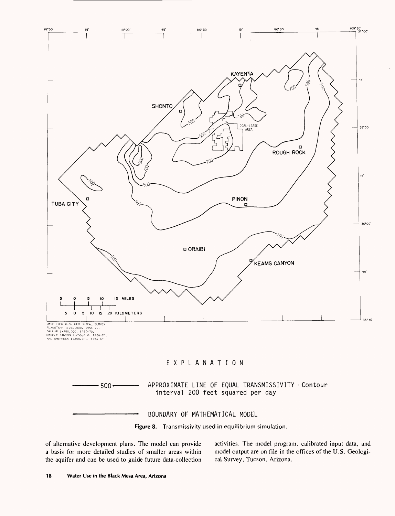

**Figure 8.** Transmissivity used in equilibrium simulation.

of alternative development plans. The model can provide a basis for more detailed studies of smaller areas within the aquifer and can be used to guide future data-collection activities. The model program, calibrated input data, and model output are on file in the offices of the U.S. Geological Survey, Tucson, Arizona.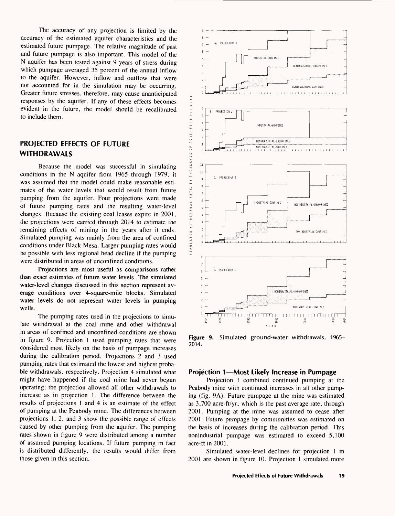The accuracy of any projection is limited by the accuracy of the estimated aquifer characteristics and the estimated future pumpage. The relative magnitude of past and future pumpage is also important. This model of the N aquifer has been tested against 9 years of stress during which pumpage averaged 35 percent of the annual inflow to the aquifer. However, inflow and outflow that were not accounted for in the simulation may be occurring. Greater future stresses, therefore, may cause unanticipated responses by the aquifer. If any of these effects becomes evident in the future, the model should be recalibrated to include them.

# **PROJECTED EFFECTS OF FUTURE WITHDRAWALS**

Because the model was successful in simulating conditions in the N aquifer from 1965 through 1979, it was assumed that the model could make reasonable estimates of the water levels that would result from future pumping from the aquifer. Four projections were made of future pumping rates and the resulting water-level changes. Because the existing coal leases expire in 2001, the projections were carried through 2014 to estimate the remaining effects of mining in the years after it ends. Simulated pumping was mainly from the area of confined conditions under Black Mesa. Larger pumping rates would be possible with less regional head decline if the pumping were distributed in areas of unconfined conditions.

Projections are most useful as comparisons rather than exact estimates of future water levels. The simulated water-level changes discussed in this section represent average conditions over 4-square-mile blocks. Simulated water levels do not represent water levels in pumping wells.

The pumping rates used in the projections to simulate withdrawal at the coal mine and other withdrawal in areas of confined and unconfined conditions are shown in figure 9. Projection 1 used pumping rates that were considered most likely on the basis of pumpage increases during the calibration period. Projections 2 and 3 used pumping rates that estimated the lowest and highest probable withdrawals, respectively. Projection 4 simulated what might have happened if the coal mine had never begun operating; the projection allowed all other withdrawals to increase as in projection 1. The difference between the results of projections 1 and 4 is an estimate of the effect of pumping at the Peabody mine. The differences between projections 1, 2, and 3 show the possible range of effects caused by other pumping from the aquifer. The pumping rates shown in figure 9 were distributed among a number of assumed pumping locations. If future pumping in fact is distributed differently, the results would differ from those given in this section.



**Figure 9.** Simulated ground-water withdrawals, 1965- 2014.

# **Projection 1—Most Likely Increase in Pumpage**

Projection 1 combined continued pumping at the Peabody mine with continued increases in all other pumping (fig. 9A). Future pumpage at the mine was estimated as 3,700 acre-ft/yr, which is the past average rate, through 2001. Pumping at the mine was assumed to cease after 2001. Future pumpage by communities was estimated on the basis of increases during the calibration period. This nonindustrial pumpage was estimated to exceed 5,100 acre-ft in 2001.

Simulated water-level declines for projection 1 in 2001 are shown in figure 10. Projection 1 simulated more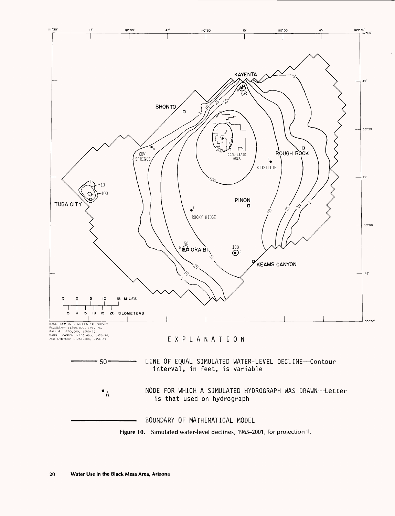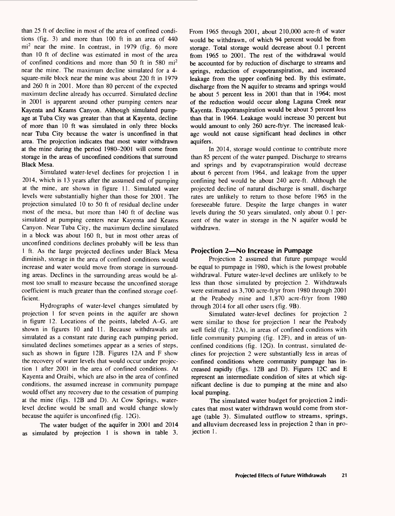than 25 ft of decline in most of the area of confined conditions (fig. 3) and more than 100 ft in an area of 440  $mi<sup>2</sup>$  near the mine. In contrast, in 1979 (fig. 6) more than 10 ft of decline was estimated in most of the area of confined conditions and more than 50 ft in 580 mi2 near the mine. The maximum decline simulated for a 4 square-mile block near the mine was about 220 ft in 1979 and 260 ft in 2001. More than 80 percent of the expected maximum decline already has occurred. Simulated decline in 2001 is apparent around other pumping centers near Kayenta and Keams Canyon. Although simulated pumpage at Tuba City was greater than that at Kayenta, decline of more than 10 ft was simulated in only three blocks near Tuba City because the water is unconfined in that area. The projection indicates that most water withdrawn at the mine during the period 1980-2001 will come from storage in the areas of unconfined conditions that surround Black Mesa.

Simulated water-level declines for projection 1 in 2014, which is 13 years after the assumed end of pumping at the mine, are shown in figure 11. Simulated water levels were substantially higher than those for 2001. The projection simulated 10 to 50 ft of residual decline under most of the mesa, but more than 140 ft of decline was simulated at pumping centers near Kayenta and Keams Canyon. Near Tuba City, the maximum decline simulated in a block was about 160 ft, but in most other areas of unconfined conditions declines probably will be less than 1 ft. As the large projected declines under Black Mesa diminish, storage in the area of confined conditions would increase and water would move from storage in surrounding areas. Declines in the surrounding areas would be almost too small to measure because the unconfined storage coefficient is much greater than the confined storage coefficient.

Hydrographs of water-level changes simulated by projection 1 for seven points in the aquifer are shown in figure 12. Locations of the points, labeled A-G, are shown in figures 10 and 11. Because withdrawals are simulated as a constant rate during each pumping period, simulated declines sometimes appear as a series of steps, such as shown in figure 12B. Figures 12A and F show the recovery of water levels that would occur under projection 1 after 2001 in the area of confined conditions. At Kayenta and Oraibi, which are also in the area of confined conditions, the assumed increase in community pumpage would offset any recovery due to the cessation of pumping at the mine (figs. 12B and D). At Cow Springs, waterlevel decline would be small and would change slowly because the aquifer is unconfined (fig. 12G).

The water budget of the aquifer in 2001 and 2014 as simulated by projection 1 is shown in table 3. From 1965 through 2001, about 210,000 acre-ft of water would be withdrawn, of which 94 percent would be from storage. Total storage would decrease about 0.1 percent from 1965 to 2001. The rest of the withdrawal would be accounted for by reduction of discharge to streams and springs, reduction of evapotranspiration, and increased leakage from the upper confining bed. By this estimate, discharge from the N aquifer to streams and springs would be about 5 percent less in 2001 than that in 1964; most of the reduction would occur along Laguna Creek near Kayenta. Evapotranspiration would be about 5 percent less than that in 1964. Leakage would increase 30 percent but would amount to only 260 acre-ft/yr. The increased leakage would not cause significant head declines in other aquifers.

In 2014, storage would continue to contribute more than 85 percent of the water pumped. Discharge to streams and springs and by evapotranspiration would decrease about 6 percent from 1964, and leakage from the upper confining bed would be about 240 acre-ft. Although the projected decline of natural discharge is small, discharge rates are unlikely to return to those before 1965 in the foreseeable future. Despite the large changes in water levels during the 50 years simulated, only about 0.1 percent of the water in storage in the N aquifer would be withdrawn.

#### **Projection 2—No Increase in Pumpage**

Projection 2 assumed that future pumpage would be equal to pumpage in 1980, which is the lowest probable withdrawal. Future water-level declines are unlikely to be less than those simulated by projection 2. Withdrawals were estimated as 3,700 acre-ft/yr from 1980 through 2001 at the Peabody mine and 1,870 acre-ft/yr from 1980 through 2014 for all other users (fig. 9B).

Simulated water-level declines for projection 2 were similar to those for projection 1 near the Peabody well field (fig. 12A), in areas of confined conditions with little community pumping (fig. 12F), and in areas of unconfined conditions (fig. 12G). In contrast, simulated declines for projection 2 were substantially less in areas of confined conditions where community pumpage has increased rapidly (figs. 12B and D). Figures 12C and E represent an intermediate condition of sites at which significant decline is due to pumping at the mine and also local pumping.

The simulated water budget for projection 2 indicates that most water withdrawn would come from storage (table 3). Simulated outflow to streams, springs, and alluvium decreased less in projection 2 than in projection 1.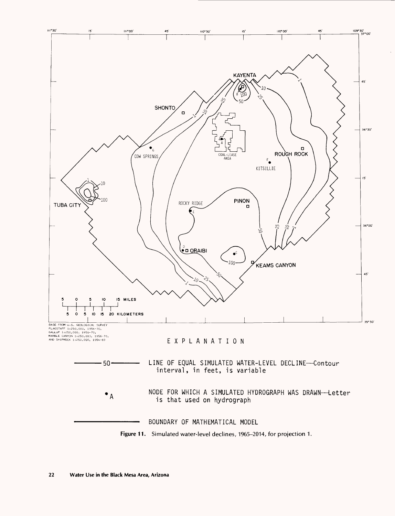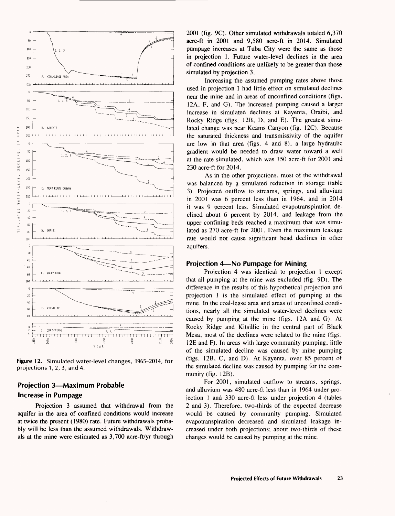

**Figure 12.** Simulated water-level changes, 1965-2014, for projections 1, 2, 3, and 4.

# **Projection 3—Maximum Probable Increase in Pumpage**

Projection 3 assumed that withdrawal from the aquifer in the area of confined conditions would increase at twice the present (1980) rate. Future withdrawals probably will be less than the assumed withdrawals. Withdrawals at the mine were estimated as 3,700 acre-ft/yr through

2001 (fig. 9C). Other simulated withdrawals totaled 6,370 acre-ft in 2001 and 9,580 acre-ft in 2014. Simulated pumpage increases at Tuba City were the same as those in projection 1. Future water-level declines in the area of confined conditions are unlikely to be greater than those simulated by projection 3.

Increasing the assumed pumping rates above those used in projection 1 had little effect on simulated declines near the mine and in areas of unconfined conditions (figs. 12A, F, and G). The increased pumping caused a larger increase in simulated declines at Kayenta, Oraibi, and Rocky Ridge (figs. 12B, D, and E). The greatest simulated change was near Keams Canyon (fig. 12C). Because the saturated thickness and transmissivity of the aquifer are low in that area (figs. 4 and 8), a large hydraulic gradient would be needed to draw water toward a well at the rate simulated, which was 150 acre-ft for 2001 and 230 acre-ft for 2014.

As in the other projections, most of the withdrawal was balanced by a simulated reduction in storage (table 3). Projected outflow to streams, springs, and alluvium in 2001 was 6 percent less than in 1964, and in 2014 it was 9 percent less. Simulated evapotranspiration declined about 6 percent by 2014, and leakage from the upper confining beds reached a maximum that was simulated as 270 acre-ft for 2001. Even the maximum leakage rate would not cause significant head declines in other aquifers.

#### **Projection 4—No Pumpage for Mining**

Projection 4 was identical to projection 1 except that all pumping at the mine was excluded (fig. 9D). The difference in the results of this hypothetical projection and projection 1 is the simulated effect of pumping at the mine. In the coal-lease area and areas of unconfined conditions, nearly all the simulated water-level declines were caused by pumping at the mine (figs. 12A and G). At Rocky Ridge and Kitsillie in the central part of Black Mesa, most of the declines were related to the mine (figs. 12E and F). In areas with large community pumping, little of the simulated decline was caused by mine pumping (figs. 12B, C, and D). At Kayenta, over 85 percent of the simulated decline was caused by pumping for the community (fig. 12B).

For 2001, simulated outflow to streams, springs, and alluvium was 480 acre-ft less than in 1964 under projection 1 and 330 acre-ft less under projection 4 (tables 2 and 3). Therefore, two-thirds of the expected decrease would be caused by community pumping. Simulated evapotranspiration decreased and simulated leakage increased under both projections; about two-thirds of these changes would be caused by pumping at the mine.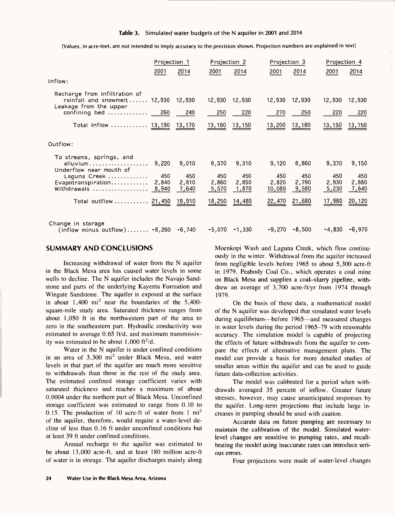[Values, in acre-feet, are not intended to imply accuracy to the precision shown. Projection numbers are explained in text]

|                                                                                                                                                                                      | Projection 1          |                                |                                | Projection 2                                    |                                 | Projection 3                                    |                                          | Projection 4                             |  |
|--------------------------------------------------------------------------------------------------------------------------------------------------------------------------------------|-----------------------|--------------------------------|--------------------------------|-------------------------------------------------|---------------------------------|-------------------------------------------------|------------------------------------------|------------------------------------------|--|
|                                                                                                                                                                                      | 2001                  | 2014                           | 2001                           | 2014                                            | 2001                            | 2014                                            | 2001                                     | 2014                                     |  |
| inflow:                                                                                                                                                                              |                       |                                |                                |                                                 |                                 |                                                 |                                          |                                          |  |
| Recharge from infiltration of<br>rainfall and snowmelt  12,930 12,930<br>Leakage from the upper<br>$\mathsf{confirming}\ \mathsf{bed}\ \dots\dots\dots\dots \quad\quad \mathsf{260}$ |                       | 240                            | 12,930<br>250                  | 12,930<br>220                                   | 270                             | 12,930 12,930<br>250                            | 12,930<br>220                            | 12,930<br>220                            |  |
| Total inflow  13,190 13,170                                                                                                                                                          |                       |                                | 13,180 13,150                  |                                                 |                                 | 13,200 13,180                                   |                                          | 13,150 13,150                            |  |
| Outflow:                                                                                                                                                                             |                       |                                |                                |                                                 |                                 |                                                 |                                          |                                          |  |
| To streams, springs, and<br>Underflow near mouth of<br>Laguna Creek<br>Evapotranspiration<br>Withdrawals $\ldots \ldots \ldots \ldots \ldots 8,940$<br>Total outflow  21,450 19,910  | 9,220<br>450<br>2,840 | 9,010<br>450<br>2,810<br>7,640 | 9,370<br>450<br>2,860<br>5,570 | 9,310<br>450<br>2,850<br>1,870<br>18,250 14,480 | 9,120<br>450<br>2,820<br>10,080 | 8,860<br>450<br>2,790<br>9,580<br>22,470 21,680 | 9,370<br>450<br>2,930<br>5,230<br>17,980 | 9,150<br>450<br>2,880<br>7,640<br>20,120 |  |
| Change in storage<br>$(inflow \text{ minus outflow}) \dots \dots \cdot -8,260 -6,740 -5,070 -1,330$                                                                                  |                       |                                |                                |                                                 |                                 | -9,270 -8,500                                   | -4,830 -6,970                            |                                          |  |

# **SUMMARY AND CONCLUSIONS**

Increasing withdrawal of water from the N aquifer in the Black Mesa area has caused water levels in some wells to decline. The N aquifer includes the Navajo Sandstone and parts of the underlying Kayenta Formation and Wingate Sandstone. The aquifer is exposed at the surface in about  $1,400$  mi<sup>2</sup> near the boundaries of the  $5,400$ square-mile study area. Saturated thickness ranges from about 1,050 ft in the northwestern part of the area to zero in the southeastern part. Hydraulic conductivity was estimated to average 0.65 ft/d, and maximum transmissivity was estimated to be about  $1,000$  ft $^2$ /d.

Water in the N aquifer is under confined conditions in an area of  $3,300$  mi<sup>2</sup> under Black Mesa, and water levels in that part of the aquifer are much more sensitive to withdrawals than those in the rest of the study area. The estimated confined storage coefficient varies with saturated thickness and reaches a maximum of about 0.0004 under the northern part of Black Mesa. Unconfined storage coefficient was estimated to range from 0.10 to 0.15. The production of 10 acre-ft of water from 1 mi2 of the aquifer, therefore, would require a water-level decline of less than 0.16 ft under unconfined conditions but at least 39 ft under confined conditions.

Annual recharge to the aquifer was estimated to be about 13,000 acre-ft, and at least 180 million acre-ft of water is in storage. The aquifer discharges mainly along Moenkopi Wash and Laguna Creek, which flow continuously in the winter. Withdrawal from the aquifer increased from negligible levels before 1965 to about 5,300 acre-ft in 1979. Peabody Coal Co., which operates a coal mine on Black Mesa and supplies a coal-slurry pipeline, withdrew an average of 3,700 acre-ft/yr from 1974 through 1979.

On the basis of these data, a mathematical model of the N aquifer was developed that simulated water levels during equilibrium—before 1965—and measured changes in water levels during the period 1965-79 with reasonable accuracy. The simulation model is capable of projecting the effects of future withdrawals from the aquifer to compare the effects of alternative management plans. The model can provide a basis for more detailed studies of smaller areas within the aquifer and can be used to guide future data-collection activities.

The model was calibrated for a period when withdrawals averaged 35 percent of inflow. Greater future stresses, however, may cause unanticipated responses by the aquifer. Long-term projections that include large increases in pumping should be used with caution.

Accurate data on future pumping are necessary to maintain the calibration of the model. Simulated waterlevel changes are sensitive to pumping rates, and recalibrating the model using inaccurate rates can introduce serious errors.

Four projections were made of water-level changes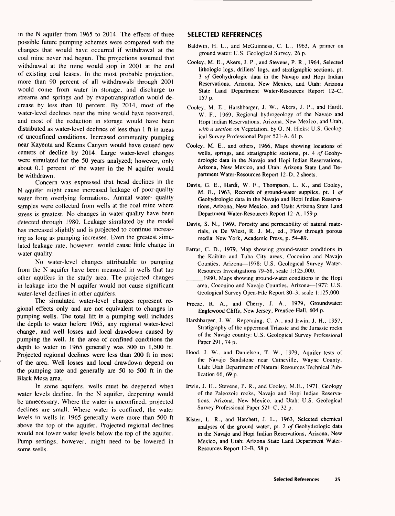in the N aquifer from 1965 to 2014. The effects of three possible future pumping schemes were compared with the changes that would have occurred if withdrawal at the coal mine never had begun. The projections assumed that withdrawal at the mine would stop in 2001 at the end of existing coal leases. In the most probable projection, more than 90 percent of all withdrawals through 2001 would come from water in storage, and discharge to streams and springs and by evapotranspiration would decrease by less than 10 percent. By 2014, most of the water-level declines near the mine would have recovered, and most of the reduction in storage would have been distributed as water-level declines of less than 1 ft in areas of unconfined conditions. Increased community pumping near Kayenta and Keams Canyon would have caused new centers of decline by 2014. Large water-level changes were simulated for the 50 years analyzed; however, only about 0.1 percent of the water in the N aquifer would be withdrawn.

Concern was expressed that head declines in the N aquifer might cause increased leakage of poor-quality water from overlying formations. Annual water- quality samples were collected from wells at the coal mine where stress is greatest. No changes in water quality have been detected through 1980. Leakage simulated by the model has increased slightly and is projected to continue increasing as long as pumping increases. Even the greatest simulated leakage rate, however, would cause little change in water quality.

No water-level changes attributable to pumping from the N aquifer have been measured in wells that tap other aquifers in the study area. The projected changes in leakage into the N aquifer would not cause significant water-level declines in other aquifers.

The simulated water-level changes represent regional effects only and are not equivalent to changes in pumping wells. The total lift in a pumping well includes the depth to water before 1965, any regional water-level change, and well losses and local drawdown caused by pumping the well. In the area of confined conditions the depth to water in 1965 generally was 500 to 1,500 ft. Projected regional declines were less than 200 ft in most of the area. Well losses and local drawdown depend on the pumping rate and generally are 50 to 500 ft in the Black Mesa area.

In some aquifers, wells must be deepened when water levels decline. In the N aquifer, deepening would be unnecessary. Where the water is unconfined, projected declines are small. Where water is confined, the water levels in wells in 1965 generally were more than 500 ft above the top of the aquifer. Projected regional declines would not lower water levels below the top of the aquifer. Pump settings, however, might need to be lowered in some wells.

# **SELECTED REFERENCES**

- Baldwin, H. L., and McGuinness, C. L., 1963, A primer on ground water: U.S. Geological Survey, 26 p.
- Cooley, M. E., Akers, J. P., and Stevens, P. R., 1964, Selected lithologic logs, drillers' logs, and stratigraphic sections, pt. <sup>3</sup>*of* Geohydrologic data in the Navajo and Hopi Indian Reservations, Arizona, New Mexico, and Utah: Arizona State Land Department Water-Resources Report 12-C, 157 p.
- Cooley, M. E., Harshbarger, J. W., Akers, J. P., and Hardt, W. F., 1969, Regional hydrogeology of the Navajo and Hopi Indian Reservations, Arizona, New Mexico, and Utah, *with a section on* Vegetation, by O. N. Hicks: U.S. Geological Survey Professional Paper 521-A, 61 p.
- Cooley, M. E., and others, 1966, Maps showing locations of wells, springs, and stratigraphic sections, pt. 4 *of* Geohydrologic data in the Navajo and Hopi Indian Reservations, Arizona, New Mexico, and Utah: Arizona State Land Department Water-Resources Report 12-D, 2 sheets.
- Davis, G. E., Hardt, W. F., Thompson, L. K., and Cooley, M. E., 1963, Records of ground-water supplies, pt. 1 *of*  Geohydrologic data in the Navajo and Hopi Indian Reservations, Arizona, New Mexico, and Utah: Arizona State Land Department Water-Resources Report 12-A, 159 p.
- Davis, S. N., 1969, Porosity and permeability of natural materials, *in* De Wiest, R. J. M., ed., Flow through porous media: New York, Academic Press, p. 54-89.
- Farrar, C. D., 1979, Map showing ground-water conditions in the Kaibito and Tuba City areas, Coconino and Navajo Counties, Arizona-1978: U.S. Geological Survey Water-Resources Investigations 79-58, scale 1:125,000.
- \_\_\_\_1980, Maps showing ground-water conditions in the Hopi area, Coconino and Navajo Counties, Arizona-1977: U.S. Geological Survey Open-File Report 80-3, scale 1:125,000.
- Freeze, R. A., and Cherry, J. A., 1979, Groundwater: Englewood Cliffs, New Jersey, Prentice-Hall, 604 p.
- Harshbarger, J. W., Repenning, C. A., and Irwin, J. H., 1957, Stratigraphy of the uppermost Triassic and the Jurassic rocks of the Navajo country: U.S. Geological Survey Professional Paper 291, 74 p.
- Hood, J. W., and Danielson, T. W., 1979, Aquifer tests of the Navajo Sandstone near Caineville, Wayne County, Utah: Utah Department of Natural Resources Technical Publication 66, 69 p.
- Irwin, J. H., Stevens, P. R., and Cooley, M.E., 1971, Geology of the Paleozoic rocks, Navajo and Hopi Indian Reservations, Arizona, New Mexico, and Utah: U.S. Geological Survey Professional Paper 521-C, 32 p.
- Kister, L. R., and Hatchett, J. L., 1963, Selected chemical analyses of the ground water, pt. 2 *of* Geohydrologic data in the Navajo and Hopi Indian Reservations, Arizona, New Mexico, and Utah: Arizona State Land Department Water-Resources Report 12-B, 58 p.